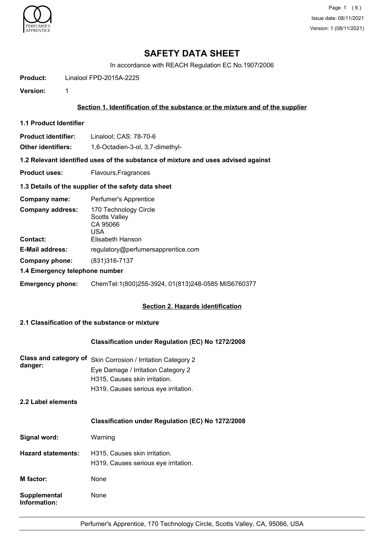

Page 1 (6) Issue date: 08/11/2021 Version: 1 (08/11/2021)

# **SAFETY DATA SHEET**

In accordance with REACH Regulation EC No.1907/2006

**Product:** Linalool FPD-2015A-2225

**Version:** 1

### **Section 1. Identification of the substance or the mixture and of the supplier**

**1.1 Product Identifier**

**Product identifier:** Linalool; CAS: 78-70-6

**Other identifiers:** 1,6-Octadien-3-ol, 3,7-dimethyl-

**1.2 Relevant identified uses of the substance of mixture and uses advised against**

**Product uses:** Flavours, Fragrances

#### **1.3 Details of the supplier of the safety data sheet**

| Company name:                              | Perfumer's Apprentice                                                                |  |
|--------------------------------------------|--------------------------------------------------------------------------------------|--|
| <b>Company address:</b><br><b>Contact:</b> | 170 Technology Circle<br><b>Scotts Valley</b><br>CA 95066<br>USA<br>Elisabeth Hanson |  |
| <b>E-Mail address:</b>                     | regulatory@perfumersapprentice.com                                                   |  |
| Company phone:                             | (831) 316-7137                                                                       |  |
| 1.4 Emergency telephone number             |                                                                                      |  |
| <b>Emergency phone:</b>                    | ChemTel:1(800)255-3924, 01(813)248-0585 MIS6760377                                   |  |

#### **Section 2. Hazards identification**

#### **2.1 Classification of the substance or mixture**

### **Classification under Regulation (EC) No 1272/2008**

**Class and category of** Skin Corrosion / Irritation Category 2 **danger:** Eye Damage / Irritation Category 2 H315, Causes skin irritation. H319, Causes serious eye irritation.

# **2.2 Label elements**

#### **Classification under Regulation (EC) No 1272/2008**

| Signal word:                        | Warning                                                               |
|-------------------------------------|-----------------------------------------------------------------------|
| <b>Hazard statements:</b>           | H315, Causes skin irritation.<br>H319, Causes serious eye irritation. |
| M factor:                           | None                                                                  |
| <b>Supplemental</b><br>Information: | None                                                                  |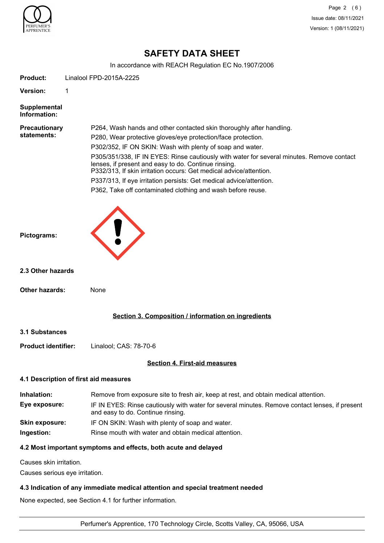

Page 2 (6) Issue date: 08/11/2021 Version: 1 (08/11/2021)

# **SAFETY DATA SHEET**

In accordance with REACH Regulation EC No.1907/2006

| <b>Product:</b>                     | Linalool FPD-2015A-2225                                                                                                                                                                                                                                                                                                                                                                                                                                                                                                                                            |  |
|-------------------------------------|--------------------------------------------------------------------------------------------------------------------------------------------------------------------------------------------------------------------------------------------------------------------------------------------------------------------------------------------------------------------------------------------------------------------------------------------------------------------------------------------------------------------------------------------------------------------|--|
| <b>Version:</b>                     | 1                                                                                                                                                                                                                                                                                                                                                                                                                                                                                                                                                                  |  |
| <b>Supplemental</b><br>Information: |                                                                                                                                                                                                                                                                                                                                                                                                                                                                                                                                                                    |  |
| <b>Precautionary</b><br>statements: | P264, Wash hands and other contacted skin thoroughly after handling.<br>P280, Wear protective gloves/eye protection/face protection.<br>P302/352, IF ON SKIN: Wash with plenty of soap and water.<br>P305/351/338, IF IN EYES: Rinse cautiously with water for several minutes. Remove contact<br>lenses, if present and easy to do. Continue rinsing.<br>P332/313, If skin irritation occurs: Get medical advice/attention.<br>P337/313, If eye irritation persists: Get medical advice/attention.<br>P362, Take off contaminated clothing and wash before reuse. |  |
| Pictograms:                         |                                                                                                                                                                                                                                                                                                                                                                                                                                                                                                                                                                    |  |
| 2.3 Other hazards                   |                                                                                                                                                                                                                                                                                                                                                                                                                                                                                                                                                                    |  |
| <b>Other hazards:</b>               | None                                                                                                                                                                                                                                                                                                                                                                                                                                                                                                                                                               |  |
|                                     | Section 3. Composition / information on ingredients                                                                                                                                                                                                                                                                                                                                                                                                                                                                                                                |  |
| <b>3.1 Substances</b>               |                                                                                                                                                                                                                                                                                                                                                                                                                                                                                                                                                                    |  |
| <b>Product identifier:</b>          | Linalool; CAS: 78-70-6                                                                                                                                                                                                                                                                                                                                                                                                                                                                                                                                             |  |
|                                     | <b>Section 4. First-aid measures</b>                                                                                                                                                                                                                                                                                                                                                                                                                                                                                                                               |  |
|                                     | 4.1 Description of first aid measures                                                                                                                                                                                                                                                                                                                                                                                                                                                                                                                              |  |
| Inhalation:<br>Eye exposure:        | Remove from exposure site to fresh air, keep at rest, and obtain medical attention.<br>IF IN EYES: Rinse cautiously with water for several minutes. Remove contact lenses, if present<br>and easy to do. Continue rinsing.                                                                                                                                                                                                                                                                                                                                         |  |
| <b>Skin exposure:</b>               | IF ON SKIN: Wash with plenty of soap and water.                                                                                                                                                                                                                                                                                                                                                                                                                                                                                                                    |  |
| Ingestion:                          | Rinse mouth with water and obtain medical attention.                                                                                                                                                                                                                                                                                                                                                                                                                                                                                                               |  |
|                                     | 4.2 Most important symptoms and effects, both acute and delayed                                                                                                                                                                                                                                                                                                                                                                                                                                                                                                    |  |
| Causes skin irritation.             |                                                                                                                                                                                                                                                                                                                                                                                                                                                                                                                                                                    |  |
|                                     | Causes serious eye irritation.                                                                                                                                                                                                                                                                                                                                                                                                                                                                                                                                     |  |

### **4.3 Indication of any immediate medical attention and special treatment needed**

None expected, see Section 4.1 for further information.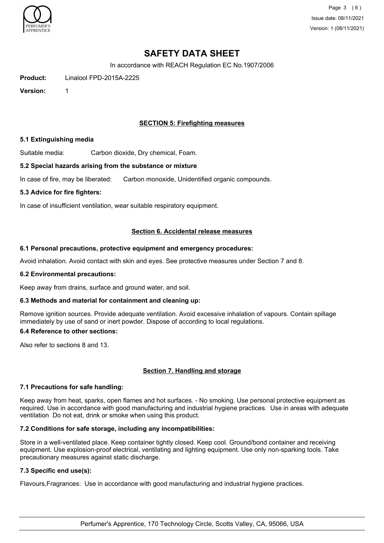

Page 3 (6) Issue date: 08/11/2021 Version: 1 (08/11/2021)

# **SAFETY DATA SHEET**

In accordance with REACH Regulation EC No.1907/2006

**Product:** Linalool FPD-2015A-2225

**Version:** 1

### **SECTION 5: Firefighting measures**

#### **5.1 Extinguishing media**

Suitable media: Carbon dioxide, Dry chemical, Foam.

#### **5.2 Special hazards arising from the substance or mixture**

In case of fire, may be liberated: Carbon monoxide, Unidentified organic compounds.

#### **5.3 Advice for fire fighters:**

In case of insufficient ventilation, wear suitable respiratory equipment.

#### **Section 6. Accidental release measures**

#### **6.1 Personal precautions, protective equipment and emergency procedures:**

Avoid inhalation. Avoid contact with skin and eyes. See protective measures under Section 7 and 8.

#### **6.2 Environmental precautions:**

Keep away from drains, surface and ground water, and soil.

#### **6.3 Methods and material for containment and cleaning up:**

Remove ignition sources. Provide adequate ventilation. Avoid excessive inhalation of vapours. Contain spillage immediately by use of sand or inert powder. Dispose of according to local regulations.

#### **6.4 Reference to other sections:**

Also refer to sections 8 and 13.

#### **Section 7. Handling and storage**

#### **7.1 Precautions for safe handling:**

Keep away from heat, sparks, open flames and hot surfaces. - No smoking. Use personal protective equipment as required. Use in accordance with good manufacturing and industrial hygiene practices. Use in areas with adequate ventilation Do not eat, drink or smoke when using this product.

#### **7.2 Conditions for safe storage, including any incompatibilities:**

Store in a well-ventilated place. Keep container tightly closed. Keep cool. Ground/bond container and receiving equipment. Use explosion-proof electrical, ventilating and lighting equipment. Use only non-sparking tools. Take precautionary measures against static discharge.

#### **7.3 Specific end use(s):**

Flavours,Fragrances: Use in accordance with good manufacturing and industrial hygiene practices.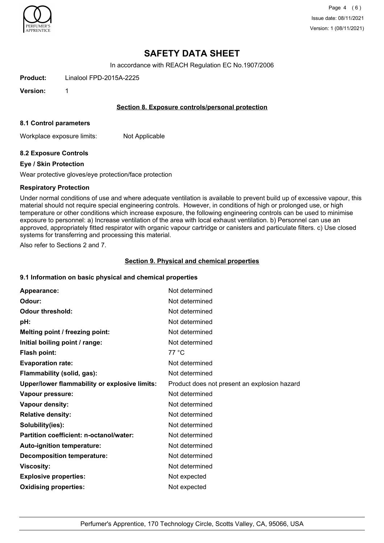

Page 4 (6) Issue date: 08/11/2021 Version: 1 (08/11/2021)

# **SAFETY DATA SHEET**

In accordance with REACH Regulation EC No.1907/2006

**Product:** Linalool FPD-2015A-2225

**Version:** 1

#### **Section 8. Exposure controls/personal protection**

#### **8.1 Control parameters**

Workplace exposure limits: Not Applicable

#### **8.2 Exposure Controls**

#### **Eye / Skin Protection**

Wear protective gloves/eye protection/face protection

#### **Respiratory Protection**

Under normal conditions of use and where adequate ventilation is available to prevent build up of excessive vapour, this material should not require special engineering controls. However, in conditions of high or prolonged use, or high temperature or other conditions which increase exposure, the following engineering controls can be used to minimise exposure to personnel: a) Increase ventilation of the area with local exhaust ventilation. b) Personnel can use an approved, appropriately fitted respirator with organic vapour cartridge or canisters and particulate filters. c) Use closed systems for transferring and processing this material.

Also refer to Sections 2 and 7.

#### **Section 9. Physical and chemical properties**

#### **9.1 Information on basic physical and chemical properties**

| Appearance:                                   | Not determined                               |
|-----------------------------------------------|----------------------------------------------|
| Odour:                                        | Not determined                               |
| <b>Odour threshold:</b>                       | Not determined                               |
| pH:                                           | Not determined                               |
| Melting point / freezing point:               | Not determined                               |
| Initial boiling point / range:                | Not determined                               |
| <b>Flash point:</b>                           | 77 °C                                        |
| <b>Evaporation rate:</b>                      | Not determined                               |
| Flammability (solid, gas):                    | Not determined                               |
| Upper/lower flammability or explosive limits: | Product does not present an explosion hazard |
| Vapour pressure:                              | Not determined                               |
| Vapour density:                               | Not determined                               |
| <b>Relative density:</b>                      | Not determined                               |
| Solubility(ies):                              | Not determined                               |
| Partition coefficient: n-octanol/water:       | Not determined                               |
| Auto-ignition temperature:                    | Not determined                               |
| <b>Decomposition temperature:</b>             | Not determined                               |
| <b>Viscosity:</b>                             | Not determined                               |
| <b>Explosive properties:</b>                  | Not expected                                 |
| <b>Oxidising properties:</b>                  | Not expected                                 |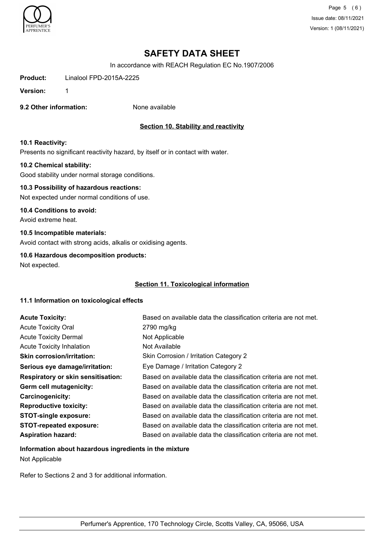

Page 5 (6) Issue date: 08/11/2021 Version: 1 (08/11/2021)

# **SAFETY DATA SHEET**

In accordance with REACH Regulation EC No.1907/2006

**Product:** Linalool FPD-2015A-2225

**Version:** 1

**9.2 Other information:** None available

# **Section 10. Stability and reactivity**

#### **10.1 Reactivity:**

Presents no significant reactivity hazard, by itself or in contact with water.

#### **10.2 Chemical stability:**

Good stability under normal storage conditions.

# **10.3 Possibility of hazardous reactions:**

Not expected under normal conditions of use.

#### **10.4 Conditions to avoid:**

Avoid extreme heat.

#### **10.5 Incompatible materials:**

Avoid contact with strong acids, alkalis or oxidising agents.

#### **10.6 Hazardous decomposition products:**

Not expected.

#### **Section 11. Toxicological information**

#### **11.1 Information on toxicological effects**

| <b>Acute Toxicity:</b>                    | Based on available data the classification criteria are not met. |
|-------------------------------------------|------------------------------------------------------------------|
| <b>Acute Toxicity Oral</b>                | 2790 mg/kg                                                       |
| <b>Acute Toxicity Dermal</b>              | Not Applicable                                                   |
| <b>Acute Toxicity Inhalation</b>          | Not Available                                                    |
| <b>Skin corrosion/irritation:</b>         | Skin Corrosion / Irritation Category 2                           |
| Serious eye damage/irritation:            | Eye Damage / Irritation Category 2                               |
| <b>Respiratory or skin sensitisation:</b> | Based on available data the classification criteria are not met. |
| Germ cell mutagenicity:                   | Based on available data the classification criteria are not met. |
| <b>Carcinogenicity:</b>                   | Based on available data the classification criteria are not met. |
| <b>Reproductive toxicity:</b>             | Based on available data the classification criteria are not met. |
| <b>STOT-single exposure:</b>              | Based on available data the classification criteria are not met. |
| <b>STOT-repeated exposure:</b>            | Based on available data the classification criteria are not met. |
| <b>Aspiration hazard:</b>                 | Based on available data the classification criteria are not met. |

# **Information about hazardous ingredients in the mixture** Not Applicable

Refer to Sections 2 and 3 for additional information.